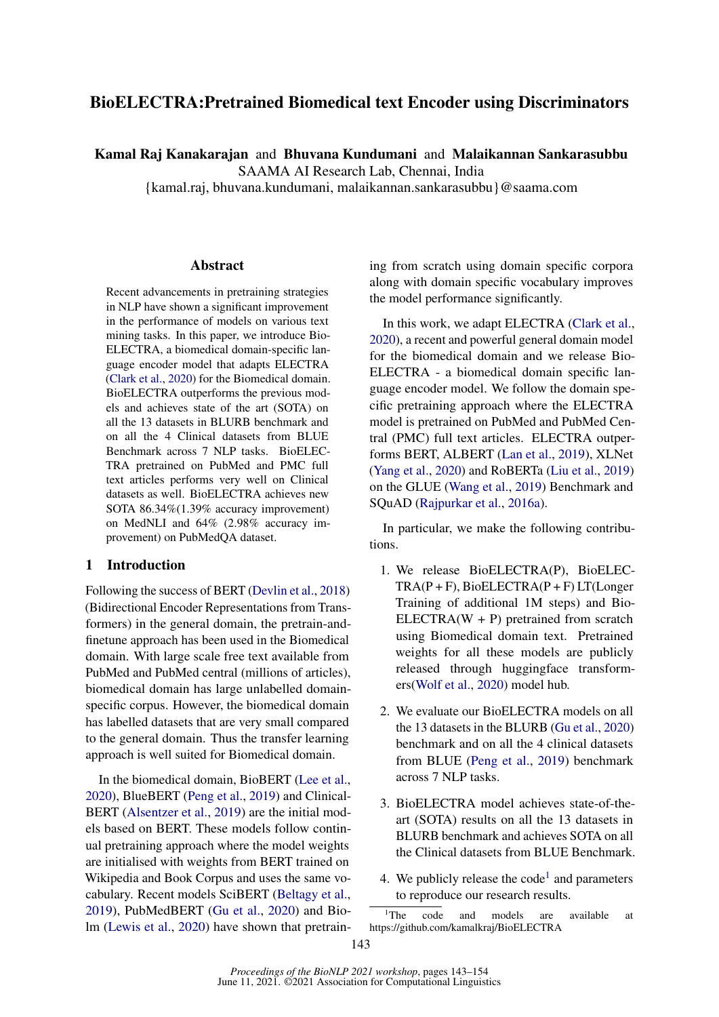# BioELECTRA:Pretrained Biomedical text Encoder using Discriminators

Kamal Raj Kanakarajan and Bhuvana Kundumani and Malaikannan Sankarasubbu

SAAMA AI Research Lab, Chennai, India

{kamal.raj, bhuvana.kundumani, malaikannan.sankarasubbu}@saama.com

#### Abstract

Recent advancements in pretraining strategies in NLP have shown a significant improvement in the performance of models on various text mining tasks. In this paper, we introduce Bio-ELECTRA, a biomedical domain-specific language encoder model that adapts ELECTRA [\(Clark et al.,](#page-8-0) [2020\)](#page-8-0) for the Biomedical domain. BioELECTRA outperforms the previous models and achieves state of the art (SOTA) on all the 13 datasets in BLURB benchmark and on all the 4 Clinical datasets from BLUE Benchmark across 7 NLP tasks. BioELEC-TRA pretrained on PubMed and PMC full text articles performs very well on Clinical datasets as well. BioELECTRA achieves new SOTA 86.34%(1.39% accuracy improvement) on MedNLI and 64% (2.98% accuracy improvement) on PubMedQA dataset.

### 1 Introduction

Following the success of BERT [\(Devlin et al.,](#page-8-1) [2018\)](#page-8-1) (Bidirectional Encoder Representations from Transformers) in the general domain, the pretrain-andfinetune approach has been used in the Biomedical domain. With large scale free text available from PubMed and PubMed central (millions of articles), biomedical domain has large unlabelled domainspecific corpus. However, the biomedical domain has labelled datasets that are very small compared to the general domain. Thus the transfer learning approach is well suited for Biomedical domain.

In the biomedical domain, BioBERT [\(Lee et al.,](#page-9-0) [2020\)](#page-9-0), BlueBERT [\(Peng et al.,](#page-9-1) [2019\)](#page-9-1) and Clinical-BERT [\(Alsentzer et al.,](#page-8-2) [2019\)](#page-8-2) are the initial models based on BERT. These models follow continual pretraining approach where the model weights are initialised with weights from BERT trained on Wikipedia and Book Corpus and uses the same vocabulary. Recent models SciBERT [\(Beltagy et al.,](#page-8-3) [2019\)](#page-8-3), PubMedBERT [\(Gu et al.,](#page-8-4) [2020\)](#page-8-4) and Biolm [\(Lewis et al.,](#page-9-2) [2020\)](#page-9-2) have shown that pretraining from scratch using domain specific corpora along with domain specific vocabulary improves the model performance significantly.

In this work, we adapt ELECTRA [\(Clark et al.,](#page-8-0) [2020\)](#page-8-0), a recent and powerful general domain model for the biomedical domain and we release Bio-ELECTRA - a biomedical domain specific language encoder model. We follow the domain specific pretraining approach where the ELECTRA model is pretrained on PubMed and PubMed Central (PMC) full text articles. ELECTRA outperforms BERT, ALBERT [\(Lan et al.,](#page-9-3) [2019\)](#page-9-3), XLNet [\(Yang et al.,](#page-10-0) [2020\)](#page-10-0) and RoBERTa [\(Liu et al.,](#page-9-4) [2019\)](#page-9-4) on the GLUE [\(Wang et al.,](#page-10-1) [2019\)](#page-10-1) Benchmark and SQuAD [\(Rajpurkar et al.,](#page-9-5) [2016a\)](#page-9-5).

In particular, we make the following contributions.

- 1. We release BioELECTRA(P), BioELEC-TRA(P + F), BioELECTRA(P + F) LT(Longer Training of additional 1M steps) and Bio- $ELECTRA(W + P)$  pretrained from scratch using Biomedical domain text. Pretrained weights for all these models are publicly released through huggingface transformers[\(Wolf et al.,](#page-10-2) [2020\)](#page-10-2) model hub.
- 2. We evaluate our BioELECTRA models on all the 13 datasets in the BLURB [\(Gu et al.,](#page-8-4) [2020\)](#page-8-4) benchmark and on all the 4 clinical datasets from BLUE [\(Peng et al.,](#page-9-1) [2019\)](#page-9-1) benchmark across 7 NLP tasks.
- 3. BioELECTRA model achieves state-of-theart (SOTA) results on all the 13 datasets in BLURB benchmark and achieves SOTA on all the Clinical datasets from BLUE Benchmark.
- 4. We publicly release the  $code<sup>1</sup>$  $code<sup>1</sup>$  $code<sup>1</sup>$  and parameters to reproduce our research results.

<span id="page-0-0"></span><sup>&</sup>lt;sup>1</sup>The code and models are available at https://github.com/kamalkraj/BioELECTRA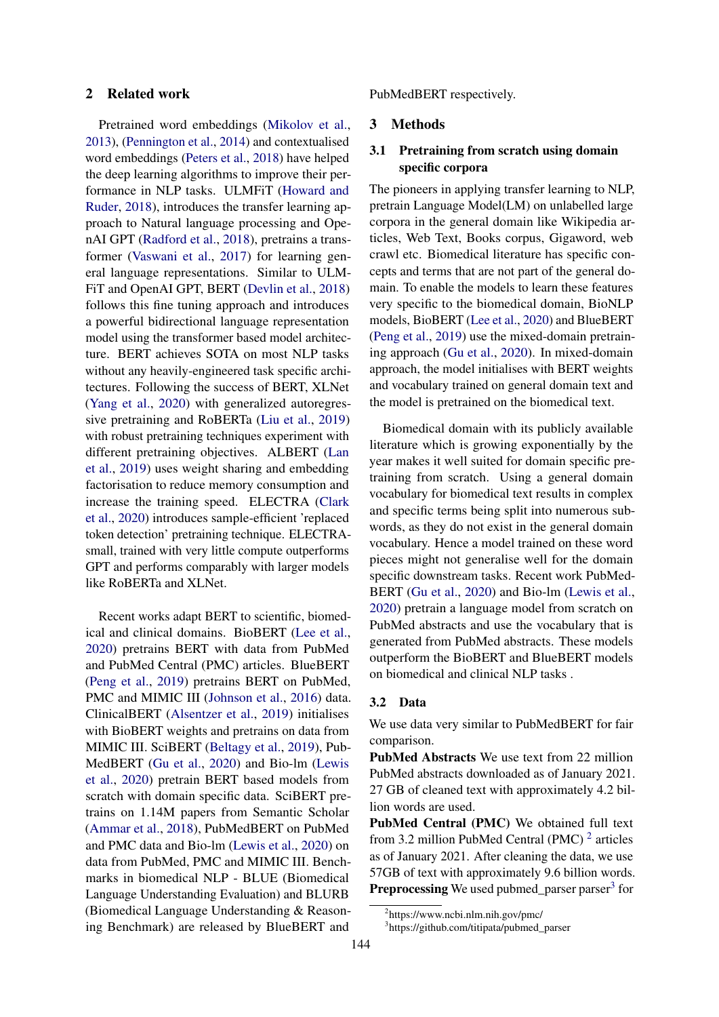### 2 Related work

Pretrained word embeddings [\(Mikolov et al.,](#page-9-6) [2013\)](#page-9-6), [\(Pennington et al.,](#page-9-7) [2014\)](#page-9-7) and contextualised word embeddings [\(Peters et al.,](#page-9-8) [2018\)](#page-9-8) have helped the deep learning algorithms to improve their performance in NLP tasks. ULMFiT [\(Howard and](#page-8-5) [Ruder,](#page-8-5) [2018\)](#page-8-5), introduces the transfer learning approach to Natural language processing and OpenAI GPT [\(Radford et al.,](#page-9-9) [2018\)](#page-9-9), pretrains a transformer [\(Vaswani et al.,](#page-10-3) [2017\)](#page-10-3) for learning general language representations. Similar to ULM-FiT and OpenAI GPT, BERT [\(Devlin et al.,](#page-8-1) [2018\)](#page-8-1) follows this fine tuning approach and introduces a powerful bidirectional language representation model using the transformer based model architecture. BERT achieves SOTA on most NLP tasks without any heavily-engineered task specific architectures. Following the success of BERT, XLNet [\(Yang et al.,](#page-10-0) [2020\)](#page-10-0) with generalized autoregressive pretraining and RoBERTa [\(Liu et al.,](#page-9-4) [2019\)](#page-9-4) with robust pretraining techniques experiment with different pretraining objectives. ALBERT [\(Lan](#page-9-3) [et al.,](#page-9-3) [2019\)](#page-9-3) uses weight sharing and embedding factorisation to reduce memory consumption and increase the training speed. ELECTRA [\(Clark](#page-8-0) [et al.,](#page-8-0) [2020\)](#page-8-0) introduces sample-efficient 'replaced token detection' pretraining technique. ELECTRAsmall, trained with very little compute outperforms GPT and performs comparably with larger models like RoBERTa and XLNet.

Recent works adapt BERT to scientific, biomedical and clinical domains. BioBERT [\(Lee et al.,](#page-9-0) [2020\)](#page-9-0) pretrains BERT with data from PubMed and PubMed Central (PMC) articles. BlueBERT [\(Peng et al.,](#page-9-1) [2019\)](#page-9-1) pretrains BERT on PubMed, PMC and MIMIC III [\(Johnson et al.,](#page-9-10) [2016\)](#page-9-10) data. ClinicalBERT [\(Alsentzer et al.,](#page-8-2) [2019\)](#page-8-2) initialises with BioBERT weights and pretrains on data from MIMIC III. SciBERT [\(Beltagy et al.,](#page-8-3) [2019\)](#page-8-3), Pub-MedBERT [\(Gu et al.,](#page-8-4) [2020\)](#page-8-4) and Bio-lm [\(Lewis](#page-9-2) [et al.,](#page-9-2) [2020\)](#page-9-2) pretrain BERT based models from scratch with domain specific data. SciBERT pretrains on 1.14M papers from Semantic Scholar [\(Ammar et al.,](#page-8-6) [2018\)](#page-8-6), PubMedBERT on PubMed and PMC data and Bio-lm [\(Lewis et al.,](#page-9-2) [2020\)](#page-9-2) on data from PubMed, PMC and MIMIC III. Benchmarks in biomedical NLP - BLUE (Biomedical Language Understanding Evaluation) and BLURB (Biomedical Language Understanding & Reasoning Benchmark) are released by BlueBERT and

PubMedBERT respectively.

### 3 Methods

### 3.1 Pretraining from scratch using domain specific corpora

The pioneers in applying transfer learning to NLP, pretrain Language Model(LM) on unlabelled large corpora in the general domain like Wikipedia articles, Web Text, Books corpus, Gigaword, web crawl etc. Biomedical literature has specific concepts and terms that are not part of the general domain. To enable the models to learn these features very specific to the biomedical domain, BioNLP models, BioBERT [\(Lee et al.,](#page-9-0) [2020\)](#page-9-0) and BlueBERT [\(Peng et al.,](#page-9-1) [2019\)](#page-9-1) use the mixed-domain pretraining approach [\(Gu et al.,](#page-8-4) [2020\)](#page-8-4). In mixed-domain approach, the model initialises with BERT weights and vocabulary trained on general domain text and the model is pretrained on the biomedical text.

Biomedical domain with its publicly available literature which is growing exponentially by the year makes it well suited for domain specific pretraining from scratch. Using a general domain vocabulary for biomedical text results in complex and specific terms being split into numerous subwords, as they do not exist in the general domain vocabulary. Hence a model trained on these word pieces might not generalise well for the domain specific downstream tasks. Recent work PubMed-BERT [\(Gu et al.,](#page-8-4) [2020\)](#page-8-4) and Bio-lm [\(Lewis et al.,](#page-9-2) [2020\)](#page-9-2) pretrain a language model from scratch on PubMed abstracts and use the vocabulary that is generated from PubMed abstracts. These models outperform the BioBERT and BlueBERT models on biomedical and clinical NLP tasks .

#### <span id="page-1-2"></span>3.2 Data

We use data very similar to PubMedBERT for fair comparison.

PubMed Abstracts We use text from 22 million PubMed abstracts downloaded as of January 2021. 27 GB of cleaned text with approximately 4.2 billion words are used.

PubMed Central (PMC) We obtained full text from 3.[2](#page-1-0) million PubMed Central (PMC)<sup>2</sup> articles as of January 2021. After cleaning the data, we use 57GB of text with approximately 9.6 billion words. Preprocessing We used pubmed\_parser parser<sup>[3](#page-1-1)</sup> for

<span id="page-1-0"></span><sup>2</sup> https://www.ncbi.nlm.nih.gov/pmc/

<span id="page-1-1"></span><sup>3</sup> https://github.com/titipata/pubmed\_parser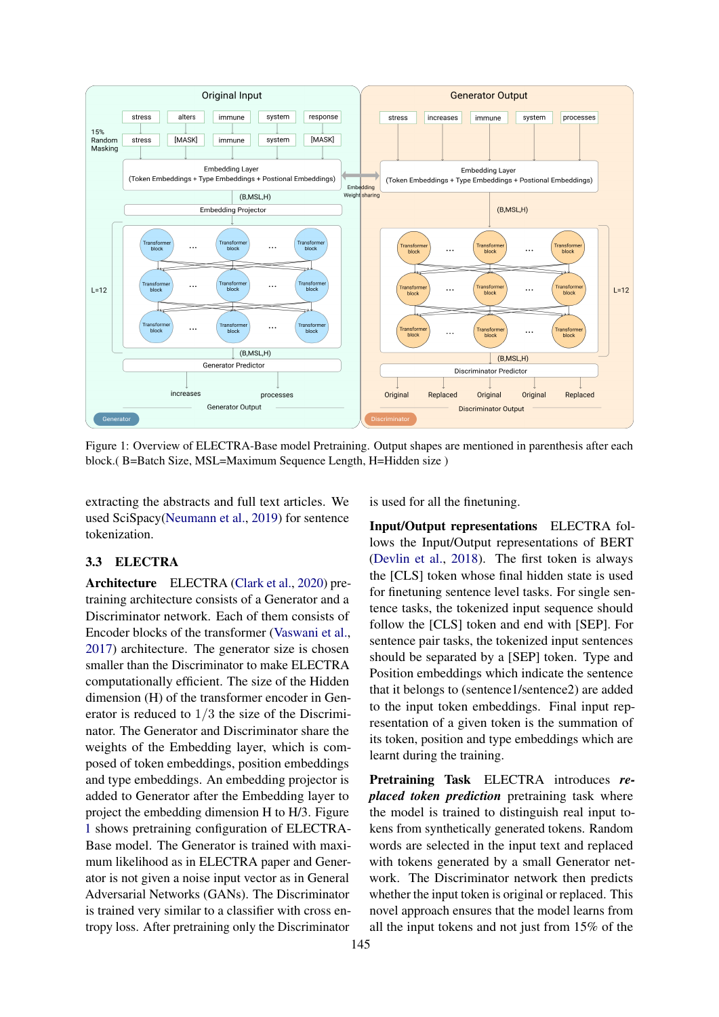<span id="page-2-0"></span>

Figure 1: Overview of ELECTRA-Base model Pretraining. Output shapes are mentioned in parenthesis after each block.( B=Batch Size, MSL=Maximum Sequence Length, H=Hidden size )

extracting the abstracts and full text articles. We used SciSpacy[\(Neumann et al.,](#page-9-11) [2019\)](#page-9-11) for sentence tokenization.

# 3.3 ELECTRA

Architecture ELECTRA [\(Clark et al.,](#page-8-0) [2020\)](#page-8-0) pretraining architecture consists of a Generator and a Discriminator network. Each of them consists of Encoder blocks of the transformer [\(Vaswani et al.,](#page-10-3) [2017\)](#page-10-3) architecture. The generator size is chosen smaller than the Discriminator to make ELECTRA computationally efficient. The size of the Hidden dimension (H) of the transformer encoder in Generator is reduced to 1/3 the size of the Discriminator. The Generator and Discriminator share the weights of the Embedding layer, which is composed of token embeddings, position embeddings and type embeddings. An embedding projector is added to Generator after the Embedding layer to project the embedding dimension H to H/3. Figure [1](#page-2-0) shows pretraining configuration of ELECTRA-Base model. The Generator is trained with maximum likelihood as in ELECTRA paper and Generator is not given a noise input vector as in General Adversarial Networks (GANs). The Discriminator is trained very similar to a classifier with cross entropy loss. After pretraining only the Discriminator

is used for all the finetuning.

<span id="page-2-1"></span>Input/Output representations ELECTRA follows the Input/Output representations of BERT [\(Devlin et al.,](#page-8-1) [2018\)](#page-8-1). The first token is always the [CLS] token whose final hidden state is used for finetuning sentence level tasks. For single sentence tasks, the tokenized input sequence should follow the [CLS] token and end with [SEP]. For sentence pair tasks, the tokenized input sentences should be separated by a [SEP] token. Type and Position embeddings which indicate the sentence that it belongs to (sentence1/sentence2) are added to the input token embeddings. Final input representation of a given token is the summation of its token, position and type embeddings which are learnt during the training.

Pretraining Task ELECTRA introduces *replaced token prediction* pretraining task where the model is trained to distinguish real input tokens from synthetically generated tokens. Random words are selected in the input text and replaced with tokens generated by a small Generator network. The Discriminator network then predicts whether the input token is original or replaced. This novel approach ensures that the model learns from all the input tokens and not just from 15% of the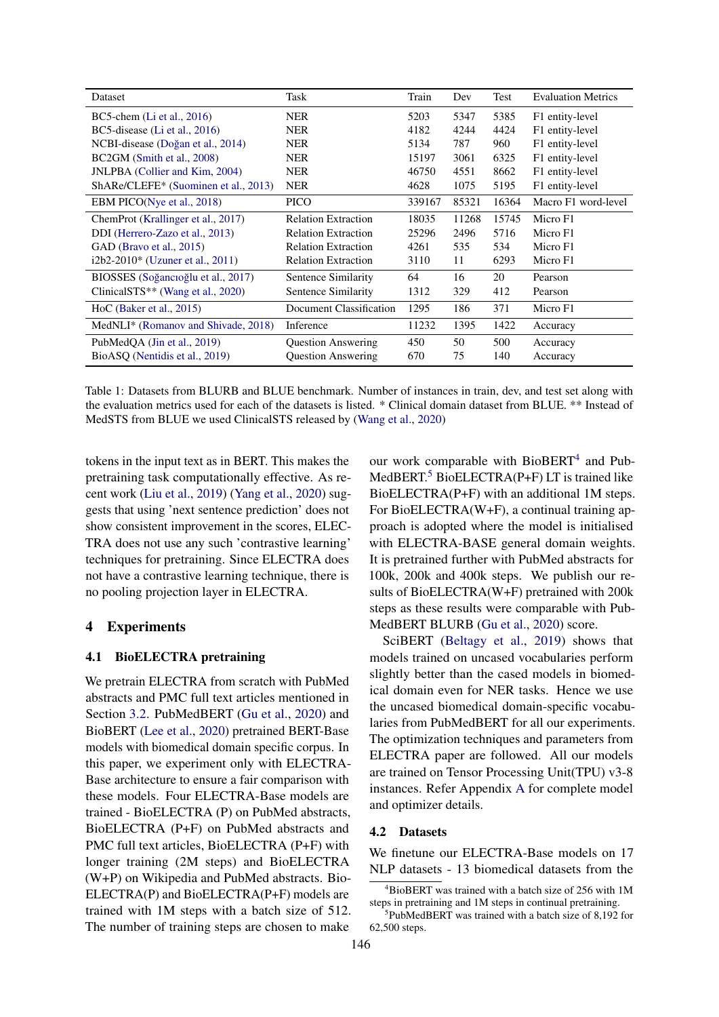<span id="page-3-2"></span>

| Dataset                                       | Task                       | Train  | Dev   | Test  | <b>Evaluation Metrics</b> |
|-----------------------------------------------|----------------------------|--------|-------|-------|---------------------------|
| BC5-chem $(Li et al., 2016)$                  | <b>NER</b>                 | 5203   | 5347  | 5385  | F1 entity-level           |
| BC5-disease $(Li$ et al., 2016)               | <b>NER</b>                 | 4182   | 4244  | 4424  | F1 entity-level           |
| NCBI-disease (Doğan et al., 2014)             | <b>NER</b>                 | 5134   | 787   | 960   | F1 entity-level           |
| BC2GM (Smith et al., 2008)                    | <b>NER</b>                 | 15197  | 3061  | 6325  | F1 entity-level           |
| JNLPBA (Collier and Kim, 2004)                | NER                        | 46750  | 4551  | 8662  | F1 entity-level           |
| ShARe/CLEFE* (Suominen et al., 2013)          | <b>NER</b>                 | 4628   | 1075  | 5195  | F1 entity-level           |
| EBM PICO(Nye et al., 2018)                    | PICO                       | 339167 | 85321 | 16364 | Macro F1 word-level       |
| ChemProt (Krallinger et al., 2017)            | <b>Relation Extraction</b> | 18035  | 11268 | 15745 | Micro F1                  |
| DDI (Herrero-Zazo et al., 2013)               | <b>Relation Extraction</b> | 25296  | 2496  | 5716  | Micro F1                  |
| GAD (Bravo et al., 2015)                      | <b>Relation Extraction</b> | 4261   | 535   | 534   | Micro F1                  |
| $i2b2-2010*$ (Uzuner et al., 2011)            | <b>Relation Extraction</b> | 3110   | 11    | 6293  | Micro F1                  |
| BIOSSES (Soğancıoğlu et al., 2017)            | Sentence Similarity        | 64     | 16    | 20    | Pearson                   |
| ClinicalSTS <sup>**</sup> (Wang et al., 2020) | Sentence Similarity        | 1312   | 329   | 412   | Pearson                   |
| $HoC$ (Baker et al., 2015)                    | Document Classification    | 1295   | 186   | 371   | Micro F1                  |
| MedNLI* (Romanov and Shivade, 2018)           | Inference                  | 11232  | 1395  | 1422  | Accuracy                  |
| PubMedQA (Jin et al., 2019)                   | <b>Question Answering</b>  | 450    | 50    | 500   | Accuracy                  |
| BioASQ (Nentidis et al., 2019)                | <b>Question Answering</b>  | 670    | 75    | 140   | Accuracy                  |

Table 1: Datasets from BLURB and BLUE benchmark. Number of instances in train, dev, and test set along with the evaluation metrics used for each of the datasets is listed. \* Clinical domain dataset from BLUE. \*\* Instead of MedSTS from BLUE we used ClinicalSTS released by [\(Wang et al.,](#page-10-8) [2020\)](#page-10-8)

tokens in the input text as in BERT. This makes the pretraining task computationally effective. As recent work [\(Liu et al.,](#page-9-4) [2019\)](#page-9-4) [\(Yang et al.,](#page-10-0) [2020\)](#page-10-0) suggests that using 'next sentence prediction' does not show consistent improvement in the scores, ELEC-TRA does not use any such 'contrastive learning' techniques for pretraining. Since ELECTRA does not have a contrastive learning technique, there is no pooling projection layer in ELECTRA.

# 4 Experiments

### <span id="page-3-3"></span>4.1 BioELECTRA pretraining

We pretrain ELECTRA from scratch with PubMed abstracts and PMC full text articles mentioned in Section [3.2.](#page-1-2) PubMedBERT [\(Gu et al.,](#page-8-4) [2020\)](#page-8-4) and BioBERT [\(Lee et al.,](#page-9-0) [2020\)](#page-9-0) pretrained BERT-Base models with biomedical domain specific corpus. In this paper, we experiment only with ELECTRA-Base architecture to ensure a fair comparison with these models. Four ELECTRA-Base models are trained - BioELECTRA (P) on PubMed abstracts, BioELECTRA (P+F) on PubMed abstracts and PMC full text articles, BioELECTRA (P+F) with longer training (2M steps) and BioELECTRA (W+P) on Wikipedia and PubMed abstracts. Bio-ELECTRA(P) and BioELECTRA(P+F) models are trained with 1M steps with a batch size of 512. The number of training steps are chosen to make

our work comparable with BioBERT<sup>[4](#page-3-0)</sup> and Pub-MedBERT.<sup>[5](#page-3-1)</sup> BioELECTRA(P+F) LT is trained like BioELECTRA(P+F) with an additional 1M steps. For BioELECTRA(W+F), a continual training approach is adopted where the model is initialised with ELECTRA-BASE general domain weights. It is pretrained further with PubMed abstracts for 100k, 200k and 400k steps. We publish our results of BioELECTRA(W+F) pretrained with 200k steps as these results were comparable with Pub-MedBERT BLURB [\(Gu et al.,](#page-8-4) [2020\)](#page-8-4) score.

SciBERT [\(Beltagy et al.,](#page-8-3) [2019\)](#page-8-3) shows that models trained on uncased vocabularies perform slightly better than the cased models in biomedical domain even for NER tasks. Hence we use the uncased biomedical domain-specific vocabularies from PubMedBERT for all our experiments. The optimization techniques and parameters from ELECTRA paper are followed. All our models are trained on Tensor Processing Unit(TPU) v3-8 instances. Refer Appendix [A](#page-10-9) for complete model and optimizer details.

### 4.2 Datasets

We finetune our ELECTRA-Base models on 17 NLP datasets - 13 biomedical datasets from the

<span id="page-3-0"></span><sup>4</sup>BioBERT was trained with a batch size of 256 with 1M steps in pretraining and 1M steps in continual pretraining.

<span id="page-3-1"></span><sup>5</sup> PubMedBERT was trained with a batch size of 8,192 for 62,500 steps.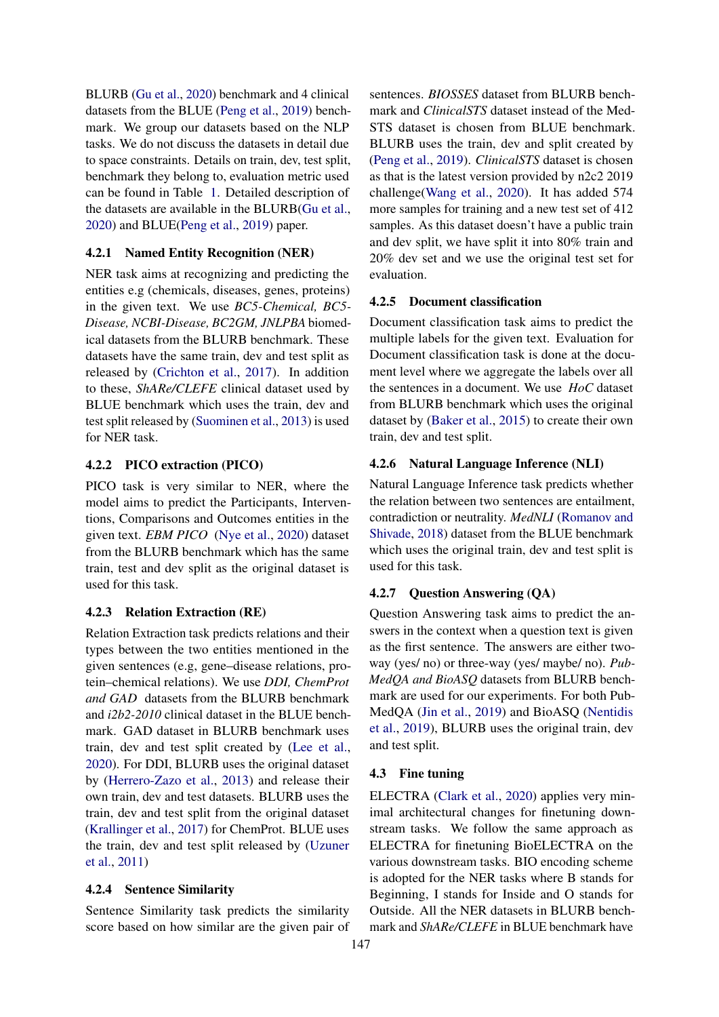BLURB [\(Gu et al.,](#page-8-4) [2020\)](#page-8-4) benchmark and 4 clinical datasets from the BLUE [\(Peng et al.,](#page-9-1) [2019\)](#page-9-1) benchmark. We group our datasets based on the NLP tasks. We do not discuss the datasets in detail due to space constraints. Details on train, dev, test split, benchmark they belong to, evaluation metric used can be found in Table [1.](#page-3-2) Detailed description of the datasets are available in the BLURB[\(Gu et al.,](#page-8-4) [2020\)](#page-8-4) and BLUE[\(Peng et al.,](#page-9-1) [2019\)](#page-9-1) paper.

### 4.2.1 Named Entity Recognition (NER)

NER task aims at recognizing and predicting the entities e.g (chemicals, diseases, genes, proteins) in the given text. We use *BC5-Chemical, BC5- Disease, NCBI-Disease, BC2GM, JNLPBA* biomedical datasets from the BLURB benchmark. These datasets have the same train, dev and test split as released by [\(Crichton et al.,](#page-8-13) [2017\)](#page-8-13). In addition to these, *ShARe/CLEFE* clinical dataset used by BLUE benchmark which uses the train, dev and test split released by [\(Suominen et al.,](#page-10-5) [2013\)](#page-10-5) is used for NER task.

### 4.2.2 PICO extraction (PICO)

PICO task is very similar to NER, where the model aims to predict the Participants, Interventions, Comparisons and Outcomes entities in the given text. *EBM PICO* [\(Nye et al.,](#page-9-17) [2020\)](#page-9-17) dataset from the BLURB benchmark which has the same train, test and dev split as the original dataset is used for this task.

### 4.2.3 Relation Extraction (RE)

Relation Extraction task predicts relations and their types between the two entities mentioned in the given sentences (e.g, gene–disease relations, protein–chemical relations). We use *DDI, ChemProt and GAD* datasets from the BLURB benchmark and *i2b2-2010* clinical dataset in the BLUE benchmark. GAD dataset in BLURB benchmark uses train, dev and test split created by [\(Lee et al.,](#page-9-0) [2020\)](#page-9-0). For DDI, BLURB uses the original dataset by [\(Herrero-Zazo et al.,](#page-8-9) [2013\)](#page-8-9) and release their own train, dev and test datasets. BLURB uses the train, dev and test split from the original dataset [\(Krallinger et al.,](#page-9-14) [2017\)](#page-9-14) for ChemProt. BLUE uses the train, dev and test split released by [\(Uzuner](#page-10-6) [et al.,](#page-10-6) [2011\)](#page-10-6)

### 4.2.4 Sentence Similarity

Sentence Similarity task predicts the similarity score based on how similar are the given pair of sentences. *BIOSSES* dataset from BLURB benchmark and *ClinicalSTS* dataset instead of the Med-STS dataset is chosen from BLUE benchmark. BLURB uses the train, dev and split created by [\(Peng et al.,](#page-9-1) [2019\)](#page-9-1). *ClinicalSTS* dataset is chosen as that is the latest version provided by n2c2 2019 challenge[\(Wang et al.,](#page-10-8) [2020\)](#page-10-8). It has added 574 more samples for training and a new test set of 412 samples. As this dataset doesn't have a public train and dev split, we have split it into 80% train and 20% dev set and we use the original test set for evaluation.

### 4.2.5 Document classification

Document classification task aims to predict the multiple labels for the given text. Evaluation for Document classification task is done at the document level where we aggregate the labels over all the sentences in a document. We use *HoC* dataset from BLURB benchmark which uses the original dataset by [\(Baker et al.,](#page-8-11) [2015\)](#page-8-11) to create their own train, dev and test split.

### 4.2.6 Natural Language Inference (NLI)

Natural Language Inference task predicts whether the relation between two sentences are entailment, contradiction or neutrality. *MedNLI* [\(Romanov and](#page-9-15) [Shivade,](#page-9-15) [2018\)](#page-9-15) dataset from the BLUE benchmark which uses the original train, dev and test split is used for this task.

### 4.2.7 Question Answering (QA)

Question Answering task aims to predict the answers in the context when a question text is given as the first sentence. The answers are either twoway (yes/ no) or three-way (yes/ maybe/ no). *Pub-MedQA and BioASQ* datasets from BLURB benchmark are used for our experiments. For both Pub-MedQA [\(Jin et al.,](#page-8-12) [2019\)](#page-8-12) and BioASQ [\(Nentidis](#page-9-16) [et al.,](#page-9-16) [2019\)](#page-9-16), BLURB uses the original train, dev and test split.

### 4.3 Fine tuning

ELECTRA [\(Clark et al.,](#page-8-0) [2020\)](#page-8-0) applies very minimal architectural changes for finetuning downstream tasks. We follow the same approach as ELECTRA for finetuning BioELECTRA on the various downstream tasks. BIO encoding scheme is adopted for the NER tasks where B stands for Beginning, I stands for Inside and O stands for Outside. All the NER datasets in BLURB benchmark and *ShARe/CLEFE* in BLUE benchmark have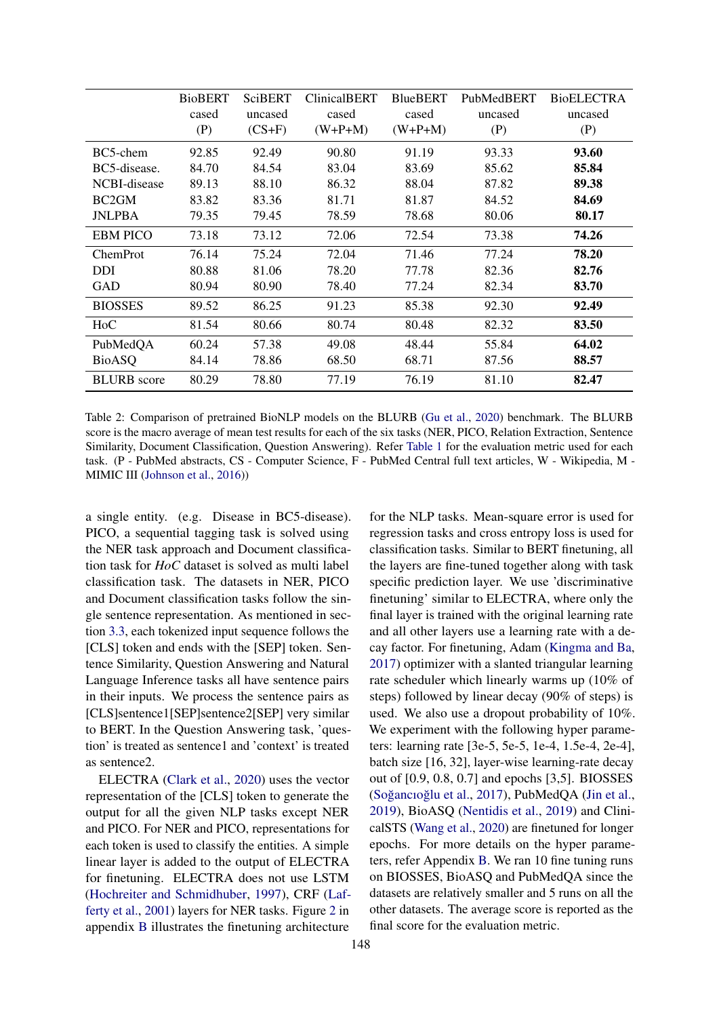<span id="page-5-0"></span>

|                    | <b>BioBERT</b> | SciBERT  | <b>ClinicalBERT</b> | <b>BlueBERT</b> | PubMedBERT | <b>BioELECTRA</b> |
|--------------------|----------------|----------|---------------------|-----------------|------------|-------------------|
|                    | cased          | uncased  | cased               | cased           | uncased    | uncased           |
|                    | (P)            | $(CS+F)$ | $(W+P+M)$           | $(W+P+M)$       | (P)        | (P)               |
| BC5-chem           | 92.85          | 92.49    | 90.80               | 91.19           | 93.33      | 93.60             |
| BC5-disease.       | 84.70          | 84.54    | 83.04               | 83.69           | 85.62      | 85.84             |
| NCBI-disease       | 89.13          | 88.10    | 86.32               | 88.04           | 87.82      | 89.38             |
| BC <sub>2</sub> GM | 83.82          | 83.36    | 81.71               | 81.87           | 84.52      | 84.69             |
| <b>JNLPBA</b>      | 79.35          | 79.45    | 78.59               | 78.68           | 80.06      | 80.17             |
| <b>EBM PICO</b>    | 73.18          | 73.12    | 72.06               | 72.54           | 73.38      | 74.26             |
| ChemProt           | 76.14          | 75.24    | 72.04               | 71.46           | 77.24      | 78.20             |
| <b>DDI</b>         | 80.88          | 81.06    | 78.20               | 77.78           | 82.36      | 82.76             |
| GAD                | 80.94          | 80.90    | 78.40               | 77.24           | 82.34      | 83.70             |
| <b>BIOSSES</b>     | 89.52          | 86.25    | 91.23               | 85.38           | 92.30      | 92.49             |
| HoC                | 81.54          | 80.66    | 80.74               | 80.48           | 82.32      | 83.50             |
| PubMedQA           | 60.24          | 57.38    | 49.08               | 48.44           | 55.84      | 64.02             |
| <b>BioASQ</b>      | 84.14          | 78.86    | 68.50               | 68.71           | 87.56      | 88.57             |
| <b>BLURB</b> score | 80.29          | 78.80    | 77.19               | 76.19           | 81.10      | 82.47             |

Table 2: Comparison of pretrained BioNLP models on the BLURB [\(Gu et al.,](#page-8-4) [2020\)](#page-8-4) benchmark. The BLURB score is the macro average of mean test results for each of the six tasks (NER, PICO, Relation Extraction, Sentence Similarity, Document Classification, Question Answering). Refer [Table 1](#page-3-2) for the evaluation metric used for each task. (P - PubMed abstracts, CS - Computer Science, F - PubMed Central full text articles, W - Wikipedia, M - MIMIC III [\(Johnson et al.,](#page-9-10) [2016\)](#page-9-10))

a single entity. (e.g. Disease in BC5-disease). PICO, a sequential tagging task is solved using the NER task approach and Document classification task for *HoC* dataset is solved as multi label classification task. The datasets in NER, PICO and Document classification tasks follow the single sentence representation. As mentioned in section [3.3,](#page-2-1) each tokenized input sequence follows the [CLS] token and ends with the [SEP] token. Sentence Similarity, Question Answering and Natural Language Inference tasks all have sentence pairs in their inputs. We process the sentence pairs as [CLS]sentence1[SEP]sentence2[SEP] very similar to BERT. In the Question Answering task, 'question' is treated as sentence1 and 'context' is treated as sentence2.

ELECTRA [\(Clark et al.,](#page-8-0) [2020\)](#page-8-0) uses the vector representation of the [CLS] token to generate the output for all the given NLP tasks except NER and PICO. For NER and PICO, representations for each token is used to classify the entities. A simple linear layer is added to the output of ELECTRA for finetuning. ELECTRA does not use LSTM [\(Hochreiter and Schmidhuber,](#page-8-14) [1997\)](#page-8-14), CRF [\(Laf](#page-9-18)[ferty et al.,](#page-9-18) [2001\)](#page-9-18) layers for NER tasks. Figure [2](#page-11-0) in appendix [B](#page-10-10) illustrates the finetuning architecture

for the NLP tasks. Mean-square error is used for regression tasks and cross entropy loss is used for classification tasks. Similar to BERT finetuning, all the layers are fine-tuned together along with task specific prediction layer. We use 'discriminative finetuning' similar to ELECTRA, where only the final layer is trained with the original learning rate and all other layers use a learning rate with a decay factor. For finetuning, Adam [\(Kingma and Ba,](#page-9-19) [2017\)](#page-9-19) optimizer with a slanted triangular learning rate scheduler which linearly warms up (10% of steps) followed by linear decay (90% of steps) is used. We also use a dropout probability of 10%. We experiment with the following hyper parameters: learning rate [3e-5, 5e-5, 1e-4, 1.5e-4, 2e-4], batch size [16, 32], layer-wise learning-rate decay out of [0.9, 0.8, 0.7] and epochs [3,5]. BIOSSES (Soğancıoğlu et al., [2017\)](#page-10-7), PubMedQA [\(Jin et al.,](#page-8-12) [2019\)](#page-8-12), BioASQ [\(Nentidis et al.,](#page-9-16) [2019\)](#page-9-16) and ClinicalSTS [\(Wang et al.,](#page-10-8) [2020\)](#page-10-8) are finetuned for longer epochs. For more details on the hyper parameters, refer Appendix [B.](#page-10-10) We ran 10 fine tuning runs on BIOSSES, BioASQ and PubMedQA since the datasets are relatively smaller and 5 runs on all the other datasets. The average score is reported as the final score for the evaluation metric.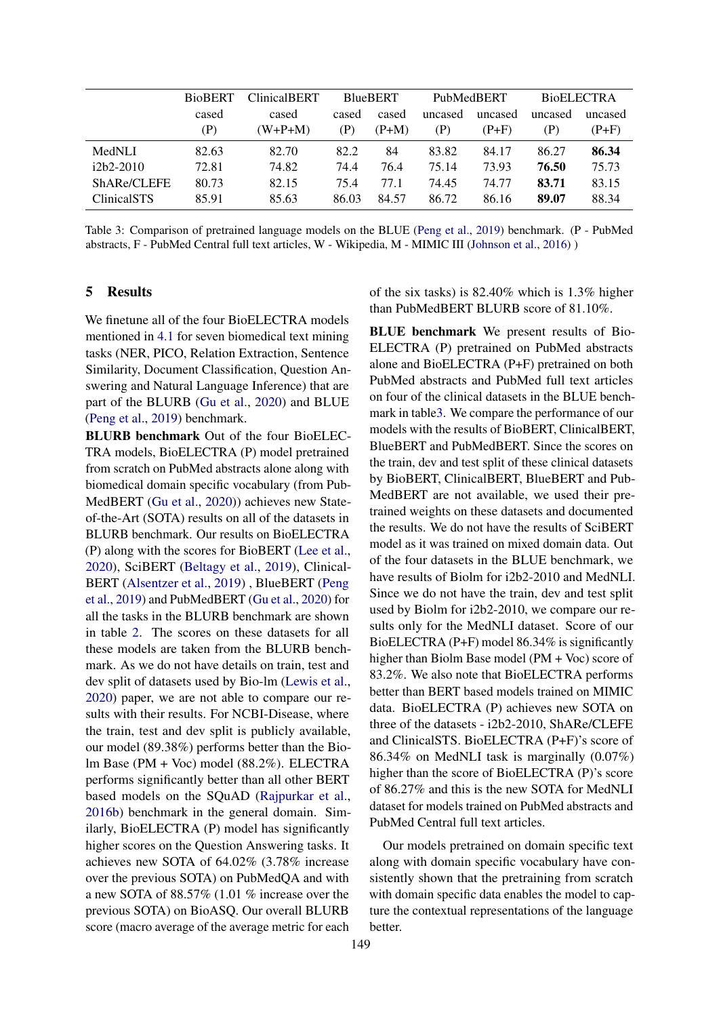<span id="page-6-0"></span>

|                    | <b>BioBERT</b> | <b>ClinicalBERT</b> | <b>BlueBERT</b> |         | PubMedBERT |         | <b>BioELECTRA</b> |         |
|--------------------|----------------|---------------------|-----------------|---------|------------|---------|-------------------|---------|
|                    | cased          | cased               | cased           | cased   | uncased    | uncased | uncased           | uncased |
|                    | (P)            | $(W+P+M)$           | (P)             | $(P+M)$ | (P)        | (P+F)   | (P)               | $(P+F)$ |
| MedNLI             | 82.63          | 82.70               | 82.2            | 84      | 83.82      | 84.17   | 86.27             | 86.34   |
| $i2b2-2010$        | 72.81          | 74.82               | 74.4            | 76.4    | 75.14      | 73.93   | 76.50             | 75.73   |
| ShARe/CLEFE        | 80.73          | 82.15               | 75.4            | 77.1    | 74.45      | 74.77   | 83.71             | 83.15   |
| <b>ClinicalSTS</b> | 85.91          | 85.63               | 86.03           | 84.57   | 86.72      | 86.16   | 89.07             | 88.34   |

Table 3: Comparison of pretrained language models on the BLUE [\(Peng et al.,](#page-9-1) [2019\)](#page-9-1) benchmark. (P - PubMed abstracts, F - PubMed Central full text articles, W - Wikipedia, M - MIMIC III [\(Johnson et al.,](#page-9-10) [2016\)](#page-9-10) )

### 5 Results

We finetune all of the four BioELECTRA models mentioned in [4.1](#page-3-3) for seven biomedical text mining tasks (NER, PICO, Relation Extraction, Sentence Similarity, Document Classification, Question Answering and Natural Language Inference) that are part of the BLURB [\(Gu et al.,](#page-8-4) [2020\)](#page-8-4) and BLUE [\(Peng et al.,](#page-9-1) [2019\)](#page-9-1) benchmark.

BLURB benchmark Out of the four BioELEC-TRA models, BioELECTRA (P) model pretrained from scratch on PubMed abstracts alone along with biomedical domain specific vocabulary (from Pub-MedBERT [\(Gu et al.,](#page-8-4) [2020\)](#page-8-4)) achieves new Stateof-the-Art (SOTA) results on all of the datasets in BLURB benchmark. Our results on BioELECTRA (P) along with the scores for BioBERT [\(Lee et al.,](#page-9-0) [2020\)](#page-9-0), SciBERT [\(Beltagy et al.,](#page-8-3) [2019\)](#page-8-3), Clinical-BERT [\(Alsentzer et al.,](#page-8-2) [2019\)](#page-8-2) , BlueBERT [\(Peng](#page-9-1) [et al.,](#page-9-1) [2019\)](#page-9-1) and PubMedBERT [\(Gu et al.,](#page-8-4) [2020\)](#page-8-4) for all the tasks in the BLURB benchmark are shown in table [2.](#page-5-0) The scores on these datasets for all these models are taken from the BLURB benchmark. As we do not have details on train, test and dev split of datasets used by Bio-lm [\(Lewis et al.,](#page-9-2) [2020\)](#page-9-2) paper, we are not able to compare our results with their results. For NCBI-Disease, where the train, test and dev split is publicly available, our model (89.38%) performs better than the Biolm Base (PM + Voc) model (88.2%). ELECTRA performs significantly better than all other BERT based models on the SQuAD [\(Rajpurkar et al.,](#page-9-20) [2016b\)](#page-9-20) benchmark in the general domain. Similarly, BioELECTRA (P) model has significantly higher scores on the Question Answering tasks. It achieves new SOTA of 64.02% (3.78% increase over the previous SOTA) on PubMedQA and with a new SOTA of 88.57% (1.01 % increase over the previous SOTA) on BioASQ. Our overall BLURB score (macro average of the average metric for each

of the six tasks) is 82.40% which is 1.3% higher than PubMedBERT BLURB score of 81.10%.

BLUE benchmark We present results of Bio-ELECTRA (P) pretrained on PubMed abstracts alone and BioELECTRA (P+F) pretrained on both PubMed abstracts and PubMed full text articles on four of the clinical datasets in the BLUE benchmark in tabl[e3.](#page-6-0) We compare the performance of our models with the results of BioBERT, ClinicalBERT, BlueBERT and PubMedBERT. Since the scores on the train, dev and test split of these clinical datasets by BioBERT, ClinicalBERT, BlueBERT and Pub-MedBERT are not available, we used their pretrained weights on these datasets and documented the results. We do not have the results of SciBERT model as it was trained on mixed domain data. Out of the four datasets in the BLUE benchmark, we have results of Biolm for i2b2-2010 and MedNLI. Since we do not have the train, dev and test split used by Biolm for i2b2-2010, we compare our results only for the MedNLI dataset. Score of our BioELECTRA (P+F) model 86.34% is significantly higher than Biolm Base model (PM + Voc) score of 83.2%. We also note that BioELECTRA performs better than BERT based models trained on MIMIC data. BioELECTRA (P) achieves new SOTA on three of the datasets - i2b2-2010, ShARe/CLEFE and ClinicalSTS. BioELECTRA (P+F)'s score of 86.34% on MedNLI task is marginally (0.07%) higher than the score of BioELECTRA (P)'s score of 86.27% and this is the new SOTA for MedNLI dataset for models trained on PubMed abstracts and PubMed Central full text articles.

Our models pretrained on domain specific text along with domain specific vocabulary have consistently shown that the pretraining from scratch with domain specific data enables the model to capture the contextual representations of the language better.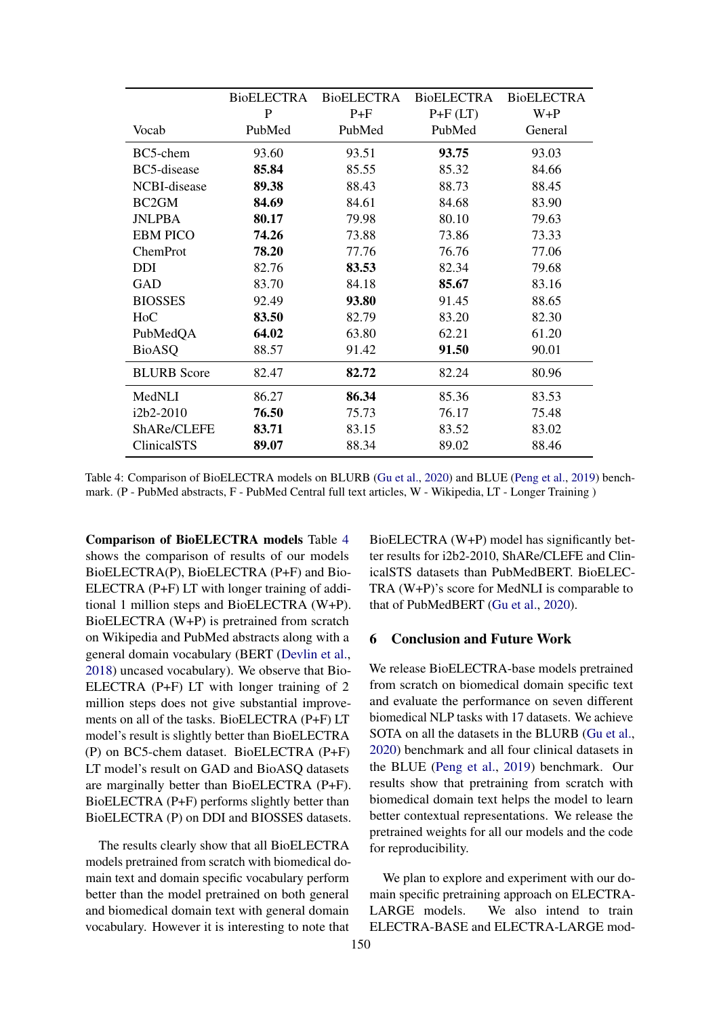<span id="page-7-0"></span>

|                    | <b>BioELECTRA</b> | <b>BioELECTRA</b> | <b>BioELECTRA</b> | <b>BioELECTRA</b> |
|--------------------|-------------------|-------------------|-------------------|-------------------|
|                    | P                 | $P + F$           | $P+F(LT)$         | $W + P$           |
| Vocab              | PubMed            | PubMed            | PubMed            | General           |
| BC5-chem           | 93.60             | 93.51             | 93.75             | 93.03             |
| BC5-disease        | 85.84             | 85.55             | 85.32             | 84.66             |
| NCBI-disease       | 89.38             | 88.43             | 88.73             | 88.45             |
| BC <sub>2</sub> GM | 84.69             | 84.61             | 84.68             | 83.90             |
| <b>JNLPBA</b>      | 80.17             | 79.98             | 80.10             | 79.63             |
| <b>EBM PICO</b>    | 74.26             | 73.88             | 73.86             | 73.33             |
| ChemProt           | 78.20             | 77.76             | 76.76             | 77.06             |
| DDI                | 82.76             | 83.53             | 82.34             | 79.68             |
| <b>GAD</b>         | 83.70             | 84.18             | 85.67             | 83.16             |
| <b>BIOSSES</b>     | 92.49             | 93.80             | 91.45             | 88.65             |
| HoC                | 83.50             | 82.79             | 83.20             | 82.30             |
| PubMedQA           | 64.02             | 63.80             | 62.21             | 61.20             |
| <b>BioASQ</b>      | 88.57             | 91.42             | 91.50             | 90.01             |
| <b>BLURB</b> Score | 82.47             | 82.72             | 82.24             | 80.96             |
| MedNLI             | 86.27             | 86.34             | 85.36             | 83.53             |
| i2b2-2010          | 76.50             | 75.73             | 76.17             | 75.48             |
| ShARe/CLEFE        | 83.71             | 83.15             | 83.52             | 83.02             |
| <b>ClinicalSTS</b> | 89.07             | 88.34             | 89.02             | 88.46             |

Table 4: Comparison of BioELECTRA models on BLURB [\(Gu et al.,](#page-8-4) [2020\)](#page-8-4) and BLUE [\(Peng et al.,](#page-9-1) [2019\)](#page-9-1) benchmark. (P - PubMed abstracts, F - PubMed Central full text articles, W - Wikipedia, LT - Longer Training )

Comparison of BioELECTRA models Table [4](#page-7-0) shows the comparison of results of our models BioELECTRA(P), BioELECTRA (P+F) and Bio-ELECTRA (P+F) LT with longer training of additional 1 million steps and BioELECTRA (W+P). BioELECTRA (W+P) is pretrained from scratch on Wikipedia and PubMed abstracts along with a general domain vocabulary (BERT [\(Devlin et al.,](#page-8-1) [2018\)](#page-8-1) uncased vocabulary). We observe that Bio-ELECTRA (P+F) LT with longer training of 2 million steps does not give substantial improvements on all of the tasks. BioELECTRA (P+F) LT model's result is slightly better than BioELECTRA (P) on BC5-chem dataset. BioELECTRA (P+F) LT model's result on GAD and BioASQ datasets are marginally better than BioELECTRA (P+F). BioELECTRA (P+F) performs slightly better than BioELECTRA (P) on DDI and BIOSSES datasets.

The results clearly show that all BioELECTRA models pretrained from scratch with biomedical domain text and domain specific vocabulary perform better than the model pretrained on both general and biomedical domain text with general domain vocabulary. However it is interesting to note that

BioELECTRA (W+P) model has significantly better results for i2b2-2010, ShARe/CLEFE and ClinicalSTS datasets than PubMedBERT. BioELEC-TRA (W+P)'s score for MedNLI is comparable to that of PubMedBERT [\(Gu et al.,](#page-8-4) [2020\)](#page-8-4).

#### 6 Conclusion and Future Work

We release BioELECTRA-base models pretrained from scratch on biomedical domain specific text and evaluate the performance on seven different biomedical NLP tasks with 17 datasets. We achieve SOTA on all the datasets in the BLURB [\(Gu et al.,](#page-8-4) [2020\)](#page-8-4) benchmark and all four clinical datasets in the BLUE [\(Peng et al.,](#page-9-1) [2019\)](#page-9-1) benchmark. Our results show that pretraining from scratch with biomedical domain text helps the model to learn better contextual representations. We release the pretrained weights for all our models and the code for reproducibility.

We plan to explore and experiment with our domain specific pretraining approach on ELECTRA-LARGE models. We also intend to train ELECTRA-BASE and ELECTRA-LARGE mod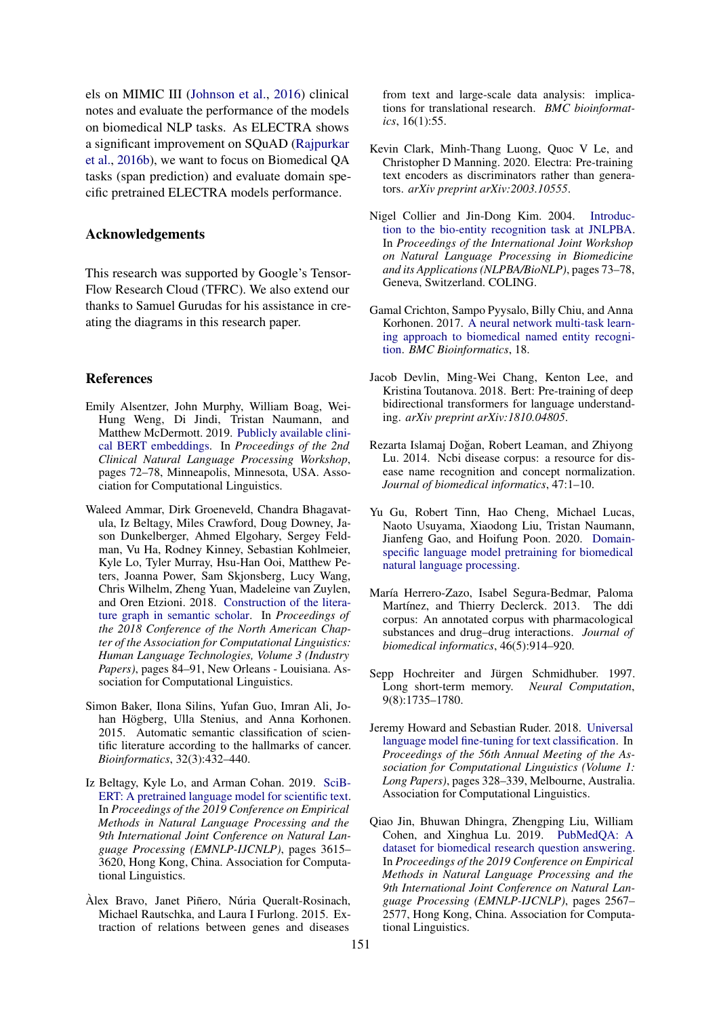els on MIMIC III [\(Johnson et al.,](#page-9-10) [2016\)](#page-9-10) clinical notes and evaluate the performance of the models on biomedical NLP tasks. As ELECTRA shows a significant improvement on SQuAD [\(Rajpurkar](#page-9-20) [et al.,](#page-9-20) [2016b\)](#page-9-20), we want to focus on Biomedical QA tasks (span prediction) and evaluate domain specific pretrained ELECTRA models performance.

### Acknowledgements

This research was supported by Google's Tensor-Flow Research Cloud (TFRC). We also extend our thanks to Samuel Gurudas for his assistance in creating the diagrams in this research paper.

#### References

- <span id="page-8-2"></span>Emily Alsentzer, John Murphy, William Boag, Wei-Hung Weng, Di Jindi, Tristan Naumann, and Matthew McDermott. 2019. [Publicly available clini](https://doi.org/10.18653/v1/W19-1909)[cal BERT embeddings.](https://doi.org/10.18653/v1/W19-1909) In *Proceedings of the 2nd Clinical Natural Language Processing Workshop*, pages 72–78, Minneapolis, Minnesota, USA. Association for Computational Linguistics.
- <span id="page-8-6"></span>Waleed Ammar, Dirk Groeneveld, Chandra Bhagavatula, Iz Beltagy, Miles Crawford, Doug Downey, Jason Dunkelberger, Ahmed Elgohary, Sergey Feldman, Vu Ha, Rodney Kinney, Sebastian Kohlmeier, Kyle Lo, Tyler Murray, Hsu-Han Ooi, Matthew Peters, Joanna Power, Sam Skjonsberg, Lucy Wang, Chris Wilhelm, Zheng Yuan, Madeleine van Zuylen, and Oren Etzioni. 2018. [Construction of the litera](https://doi.org/10.18653/v1/N18-3011)[ture graph in semantic scholar.](https://doi.org/10.18653/v1/N18-3011) In *Proceedings of the 2018 Conference of the North American Chapter of the Association for Computational Linguistics: Human Language Technologies, Volume 3 (Industry Papers)*, pages 84–91, New Orleans - Louisiana. Association for Computational Linguistics.
- <span id="page-8-11"></span>Simon Baker, Ilona Silins, Yufan Guo, Imran Ali, Johan Högberg, Ulla Stenius, and Anna Korhonen. 2015. Automatic semantic classification of scientific literature according to the hallmarks of cancer. *Bioinformatics*, 32(3):432–440.
- <span id="page-8-3"></span>Iz Beltagy, Kyle Lo, and Arman Cohan. 2019. [SciB-](https://doi.org/10.18653/v1/D19-1371)[ERT: A pretrained language model for scientific text.](https://doi.org/10.18653/v1/D19-1371) In *Proceedings of the 2019 Conference on Empirical Methods in Natural Language Processing and the 9th International Joint Conference on Natural Language Processing (EMNLP-IJCNLP)*, pages 3615– 3620, Hong Kong, China. Association for Computational Linguistics.
- <span id="page-8-10"></span>Àlex Bravo, Janet Piñero, Núria Queralt-Rosinach, Michael Rautschka, and Laura I Furlong. 2015. Extraction of relations between genes and diseases

from text and large-scale data analysis: implications for translational research. *BMC bioinformatics*, 16(1):55.

- <span id="page-8-0"></span>Kevin Clark, Minh-Thang Luong, Quoc V Le, and Christopher D Manning. 2020. Electra: Pre-training text encoders as discriminators rather than generators. *arXiv preprint arXiv:2003.10555*.
- <span id="page-8-8"></span>Nigel Collier and Jin-Dong Kim. 2004. [Introduc](https://www.aclweb.org/anthology/W04-1213)[tion to the bio-entity recognition task at JNLPBA.](https://www.aclweb.org/anthology/W04-1213) In *Proceedings of the International Joint Workshop on Natural Language Processing in Biomedicine and its Applications (NLPBA/BioNLP)*, pages 73–78, Geneva, Switzerland. COLING.
- <span id="page-8-13"></span>Gamal Crichton, Sampo Pyysalo, Billy Chiu, and Anna Korhonen. 2017. [A neural network multi-task learn](https://doi.org/10.1186/s12859-017-1776-8)[ing approach to biomedical named entity recogni](https://doi.org/10.1186/s12859-017-1776-8)[tion.](https://doi.org/10.1186/s12859-017-1776-8) *BMC Bioinformatics*, 18.
- <span id="page-8-1"></span>Jacob Devlin, Ming-Wei Chang, Kenton Lee, and Kristina Toutanova. 2018. Bert: Pre-training of deep bidirectional transformers for language understanding. *arXiv preprint arXiv:1810.04805*.
- <span id="page-8-7"></span>Rezarta Islamaj Doğan, Robert Leaman, and Zhiyong Lu. 2014. Ncbi disease corpus: a resource for disease name recognition and concept normalization. *Journal of biomedical informatics*, 47:1–10.
- <span id="page-8-4"></span>Yu Gu, Robert Tinn, Hao Cheng, Michael Lucas, Naoto Usuyama, Xiaodong Liu, Tristan Naumann, Jianfeng Gao, and Hoifung Poon. 2020. [Domain](http://arxiv.org/abs/arXiv:2007.15779)[specific language model pretraining for biomedical](http://arxiv.org/abs/arXiv:2007.15779) [natural language processing.](http://arxiv.org/abs/arXiv:2007.15779)
- <span id="page-8-9"></span>María Herrero-Zazo, Isabel Segura-Bedmar, Paloma Martínez, and Thierry Declerck. 2013. The ddi corpus: An annotated corpus with pharmacological substances and drug–drug interactions. *Journal of biomedical informatics*, 46(5):914–920.
- <span id="page-8-14"></span>Sepp Hochreiter and Jürgen Schmidhuber. 1997. Long short-term memory. *Neural Computation*, 9(8):1735–1780.
- <span id="page-8-5"></span>Jeremy Howard and Sebastian Ruder. 2018. [Universal](https://doi.org/10.18653/v1/P18-1031) [language model fine-tuning for text classification.](https://doi.org/10.18653/v1/P18-1031) In *Proceedings of the 56th Annual Meeting of the Association for Computational Linguistics (Volume 1: Long Papers)*, pages 328–339, Melbourne, Australia. Association for Computational Linguistics.
- <span id="page-8-12"></span>Qiao Jin, Bhuwan Dhingra, Zhengping Liu, William Cohen, and Xinghua Lu. 2019. [PubMedQA: A](https://doi.org/10.18653/v1/D19-1259) [dataset for biomedical research question answering.](https://doi.org/10.18653/v1/D19-1259) In *Proceedings of the 2019 Conference on Empirical Methods in Natural Language Processing and the 9th International Joint Conference on Natural Language Processing (EMNLP-IJCNLP)*, pages 2567– 2577, Hong Kong, China. Association for Computational Linguistics.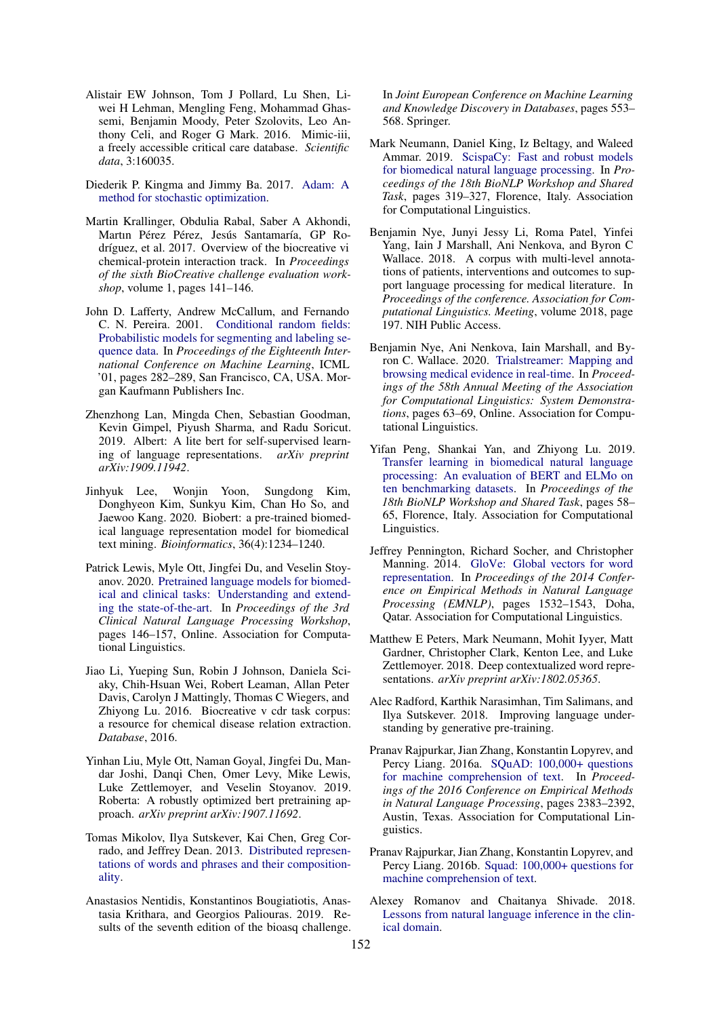- <span id="page-9-10"></span>Alistair EW Johnson, Tom J Pollard, Lu Shen, Liwei H Lehman, Mengling Feng, Mohammad Ghassemi, Benjamin Moody, Peter Szolovits, Leo Anthony Celi, and Roger G Mark. 2016. Mimic-iii, a freely accessible critical care database. *Scientific data*, 3:160035.
- <span id="page-9-19"></span>Diederik P. Kingma and Jimmy Ba. 2017. [Adam: A](http://arxiv.org/abs/1412.6980) [method for stochastic optimization.](http://arxiv.org/abs/1412.6980)
- <span id="page-9-14"></span>Martin Krallinger, Obdulia Rabal, Saber A Akhondi, Martın Pérez Pérez, Jesús Santamaría, GP Rodríguez, et al. 2017. Overview of the biocreative vi chemical-protein interaction track. In *Proceedings of the sixth BioCreative challenge evaluation workshop*, volume 1, pages 141–146.
- <span id="page-9-18"></span>John D. Lafferty, Andrew McCallum, and Fernando C. N. Pereira. 2001. [Conditional random fields:](http://dl.acm.org/citation.cfm?id=645530.655813) [Probabilistic models for segmenting and labeling se](http://dl.acm.org/citation.cfm?id=645530.655813)[quence data.](http://dl.acm.org/citation.cfm?id=645530.655813) In *Proceedings of the Eighteenth International Conference on Machine Learning*, ICML '01, pages 282–289, San Francisco, CA, USA. Morgan Kaufmann Publishers Inc.
- <span id="page-9-3"></span>Zhenzhong Lan, Mingda Chen, Sebastian Goodman, Kevin Gimpel, Piyush Sharma, and Radu Soricut. 2019. Albert: A lite bert for self-supervised learning of language representations. *arXiv preprint arXiv:1909.11942*.
- <span id="page-9-0"></span>Jinhyuk Lee, Wonjin Yoon, Sungdong Kim, Donghyeon Kim, Sunkyu Kim, Chan Ho So, and Jaewoo Kang. 2020. Biobert: a pre-trained biomedical language representation model for biomedical text mining. *Bioinformatics*, 36(4):1234–1240.
- <span id="page-9-2"></span>Patrick Lewis, Myle Ott, Jingfei Du, and Veselin Stoyanov. 2020. [Pretrained language models for biomed](https://doi.org/10.18653/v1/2020.clinicalnlp-1.17)[ical and clinical tasks: Understanding and extend](https://doi.org/10.18653/v1/2020.clinicalnlp-1.17)[ing the state-of-the-art.](https://doi.org/10.18653/v1/2020.clinicalnlp-1.17) In *Proceedings of the 3rd Clinical Natural Language Processing Workshop*, pages 146–157, Online. Association for Computational Linguistics.
- <span id="page-9-12"></span>Jiao Li, Yueping Sun, Robin J Johnson, Daniela Sciaky, Chih-Hsuan Wei, Robert Leaman, Allan Peter Davis, Carolyn J Mattingly, Thomas C Wiegers, and Zhiyong Lu. 2016. Biocreative v cdr task corpus: a resource for chemical disease relation extraction. *Database*, 2016.
- <span id="page-9-4"></span>Yinhan Liu, Myle Ott, Naman Goyal, Jingfei Du, Mandar Joshi, Danqi Chen, Omer Levy, Mike Lewis, Luke Zettlemoyer, and Veselin Stoyanov. 2019. Roberta: A robustly optimized bert pretraining approach. *arXiv preprint arXiv:1907.11692*.
- <span id="page-9-6"></span>Tomas Mikolov, Ilya Sutskever, Kai Chen, Greg Corrado, and Jeffrey Dean. 2013. [Distributed represen](http://arxiv.org/abs/1310.4546)[tations of words and phrases and their composition](http://arxiv.org/abs/1310.4546)[ality.](http://arxiv.org/abs/1310.4546)
- <span id="page-9-16"></span>Anastasios Nentidis, Konstantinos Bougiatiotis, Anastasia Krithara, and Georgios Paliouras. 2019. Results of the seventh edition of the bioasq challenge.

In *Joint European Conference on Machine Learning and Knowledge Discovery in Databases*, pages 553– 568. Springer.

- <span id="page-9-11"></span>Mark Neumann, Daniel King, Iz Beltagy, and Waleed Ammar. 2019. [ScispaCy: Fast and robust models](https://doi.org/10.18653/v1/W19-5034) [for biomedical natural language processing.](https://doi.org/10.18653/v1/W19-5034) In *Proceedings of the 18th BioNLP Workshop and Shared Task*, pages 319–327, Florence, Italy. Association for Computational Linguistics.
- <span id="page-9-13"></span>Benjamin Nye, Junyi Jessy Li, Roma Patel, Yinfei Yang, Iain J Marshall, Ani Nenkova, and Byron C Wallace. 2018. A corpus with multi-level annotations of patients, interventions and outcomes to support language processing for medical literature. In *Proceedings of the conference. Association for Computational Linguistics. Meeting*, volume 2018, page 197. NIH Public Access.
- <span id="page-9-17"></span>Benjamin Nye, Ani Nenkova, Iain Marshall, and Byron C. Wallace. 2020. [Trialstreamer: Mapping and](https://doi.org/10.18653/v1/2020.acl-demos.9) [browsing medical evidence in real-time.](https://doi.org/10.18653/v1/2020.acl-demos.9) In *Proceedings of the 58th Annual Meeting of the Association for Computational Linguistics: System Demonstrations*, pages 63–69, Online. Association for Computational Linguistics.
- <span id="page-9-1"></span>Yifan Peng, Shankai Yan, and Zhiyong Lu. 2019. [Transfer learning in biomedical natural language](https://doi.org/10.18653/v1/W19-5006) [processing: An evaluation of BERT and ELMo on](https://doi.org/10.18653/v1/W19-5006) [ten benchmarking datasets.](https://doi.org/10.18653/v1/W19-5006) In *Proceedings of the 18th BioNLP Workshop and Shared Task*, pages 58– 65, Florence, Italy. Association for Computational Linguistics.
- <span id="page-9-7"></span>Jeffrey Pennington, Richard Socher, and Christopher Manning. 2014. [GloVe: Global vectors for word](https://doi.org/10.3115/v1/D14-1162) [representation.](https://doi.org/10.3115/v1/D14-1162) In *Proceedings of the 2014 Conference on Empirical Methods in Natural Language Processing (EMNLP)*, pages 1532–1543, Doha, Qatar. Association for Computational Linguistics.
- <span id="page-9-8"></span>Matthew E Peters, Mark Neumann, Mohit Iyyer, Matt Gardner, Christopher Clark, Kenton Lee, and Luke Zettlemoyer. 2018. Deep contextualized word representations. *arXiv preprint arXiv:1802.05365*.
- <span id="page-9-9"></span>Alec Radford, Karthik Narasimhan, Tim Salimans, and Ilya Sutskever. 2018. Improving language understanding by generative pre-training.
- <span id="page-9-5"></span>Pranav Rajpurkar, Jian Zhang, Konstantin Lopyrev, and Percy Liang. 2016a. [SQuAD: 100,000+ questions](https://doi.org/10.18653/v1/D16-1264) [for machine comprehension of text.](https://doi.org/10.18653/v1/D16-1264) In *Proceedings of the 2016 Conference on Empirical Methods in Natural Language Processing*, pages 2383–2392, Austin, Texas. Association for Computational Linguistics.
- <span id="page-9-20"></span>Pranav Rajpurkar, Jian Zhang, Konstantin Lopyrev, and Percy Liang. 2016b. [Squad: 100,000+ questions for](http://arxiv.org/abs/1606.05250) [machine comprehension of text.](http://arxiv.org/abs/1606.05250)
- <span id="page-9-15"></span>Alexey Romanov and Chaitanya Shivade. 2018. [Lessons from natural language inference in the clin](http://arxiv.org/abs/1808.06752)[ical domain.](http://arxiv.org/abs/1808.06752)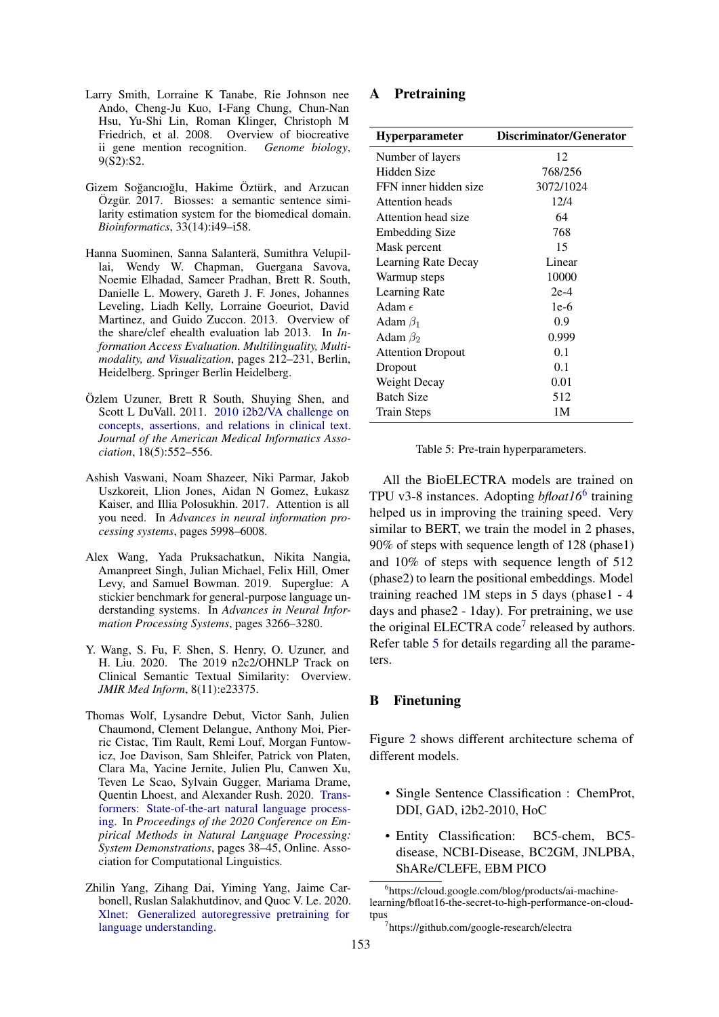- <span id="page-10-4"></span>Larry Smith, Lorraine K Tanabe, Rie Johnson nee Ando, Cheng-Ju Kuo, I-Fang Chung, Chun-Nan Hsu, Yu-Shi Lin, Roman Klinger, Christoph M Friedrich, et al. 2008. Overview of biocreative ii gene mention recognition. *Genome biology*, 9(S2):S2.
- <span id="page-10-7"></span>Gizem Soğancıoğlu, Hakime Öztürk, and Arzucan Özgür. 2017. Biosses: a semantic sentence similarity estimation system for the biomedical domain. *Bioinformatics*, 33(14):i49–i58.
- <span id="page-10-5"></span>Hanna Suominen, Sanna Salanterä, Sumithra Velupillai, Wendy W. Chapman, Guergana Savova, Noemie Elhadad, Sameer Pradhan, Brett R. South, Danielle L. Mowery, Gareth J. F. Jones, Johannes Leveling, Liadh Kelly, Lorraine Goeuriot, David Martinez, and Guido Zuccon. 2013. Overview of the share/clef ehealth evaluation lab 2013. In *Information Access Evaluation. Multilinguality, Multimodality, and Visualization*, pages 212–231, Berlin, Heidelberg. Springer Berlin Heidelberg.
- <span id="page-10-6"></span>Özlem Uzuner, Brett R South, Shuying Shen, and Scott L DuVall. 2011. [2010 i2b2/VA challenge on](https://doi.org/10.1136/amiajnl-2011-000203) [concepts, assertions, and relations in clinical text.](https://doi.org/10.1136/amiajnl-2011-000203) *Journal of the American Medical Informatics Association*, 18(5):552–556.
- <span id="page-10-3"></span>Ashish Vaswani, Noam Shazeer, Niki Parmar, Jakob Uszkoreit, Llion Jones, Aidan N Gomez, Łukasz Kaiser, and Illia Polosukhin. 2017. Attention is all you need. In *Advances in neural information processing systems*, pages 5998–6008.
- <span id="page-10-1"></span>Alex Wang, Yada Pruksachatkun, Nikita Nangia, Amanpreet Singh, Julian Michael, Felix Hill, Omer Levy, and Samuel Bowman. 2019. Superglue: A stickier benchmark for general-purpose language understanding systems. In *Advances in Neural Information Processing Systems*, pages 3266–3280.
- <span id="page-10-8"></span>Y. Wang, S. Fu, F. Shen, S. Henry, O. Uzuner, and H. Liu. 2020. The 2019 n2c2/OHNLP Track on Clinical Semantic Textual Similarity: Overview. *JMIR Med Inform*, 8(11):e23375.
- <span id="page-10-2"></span>Thomas Wolf, Lysandre Debut, Victor Sanh, Julien Chaumond, Clement Delangue, Anthony Moi, Pierric Cistac, Tim Rault, Remi Louf, Morgan Funtowicz, Joe Davison, Sam Shleifer, Patrick von Platen, Clara Ma, Yacine Jernite, Julien Plu, Canwen Xu, Teven Le Scao, Sylvain Gugger, Mariama Drame, Quentin Lhoest, and Alexander Rush. 2020. [Trans](https://doi.org/10.18653/v1/2020.emnlp-demos.6)[formers: State-of-the-art natural language process](https://doi.org/10.18653/v1/2020.emnlp-demos.6)[ing.](https://doi.org/10.18653/v1/2020.emnlp-demos.6) In *Proceedings of the 2020 Conference on Empirical Methods in Natural Language Processing: System Demonstrations*, pages 38–45, Online. Association for Computational Linguistics.
- <span id="page-10-0"></span>Zhilin Yang, Zihang Dai, Yiming Yang, Jaime Carbonell, Ruslan Salakhutdinov, and Quoc V. Le. 2020. [Xlnet: Generalized autoregressive pretraining for](http://arxiv.org/abs/1906.08237) [language understanding.](http://arxiv.org/abs/1906.08237)

# <span id="page-10-9"></span>A Pretraining

<span id="page-10-13"></span>

| <b>Hyperparameter</b>    | Discriminator/Generator |
|--------------------------|-------------------------|
| Number of layers         | 12                      |
| Hidden Size              | 768/256                 |
| FFN inner hidden size    | 3072/1024               |
| Attention heads          | 12/4                    |
| Attention head size      | 64                      |
| Embedding Size           | 768                     |
| Mask percent             | 15                      |
| Learning Rate Decay      | Linear                  |
| Warmup steps             | 10000                   |
| Learning Rate            | $2e-4$                  |
| Adam $\epsilon$          | $1e-6$                  |
| Adam $\beta_1$           | 0.9                     |
| Adam $\beta_2$           | 0.999                   |
| <b>Attention Dropout</b> | 0.1                     |
| Dropout                  | 0.1                     |
| Weight Decay             | 0.01                    |
| <b>Batch Size</b>        | 512                     |
| <b>Train Steps</b>       | 1M                      |

Table 5: Pre-train hyperparameters.

All the BioELECTRA models are trained on TPU v3-8 instances. Adopting *bfloat16*[6](#page-10-11) training helped us in improving the training speed. Very similar to BERT, we train the model in 2 phases, 90% of steps with sequence length of 128 (phase1) and 10% of steps with sequence length of 512 (phase2) to learn the positional embeddings. Model training reached 1M steps in 5 days (phase1 - 4 days and phase2 - 1day). For pretraining, we use the original ELECTRA code<sup>[7](#page-10-12)</sup> released by authors. Refer table [5](#page-10-13) for details regarding all the parameters.

### <span id="page-10-10"></span>B Finetuning

Figure [2](#page-11-0) shows different architecture schema of different models.

- Single Sentence Classification : ChemProt, DDI, GAD, i2b2-2010, HoC
- Entity Classification: BC5-chem, BC5 disease, NCBI-Disease, BC2GM, JNLPBA, ShARe/CLEFE, EBM PICO

<span id="page-10-11"></span><sup>6</sup> https://cloud.google.com/blog/products/ai-machinelearning/bfloat16-the-secret-to-high-performance-on-cloudtpus

<span id="page-10-12"></span><sup>7</sup> https://github.com/google-research/electra